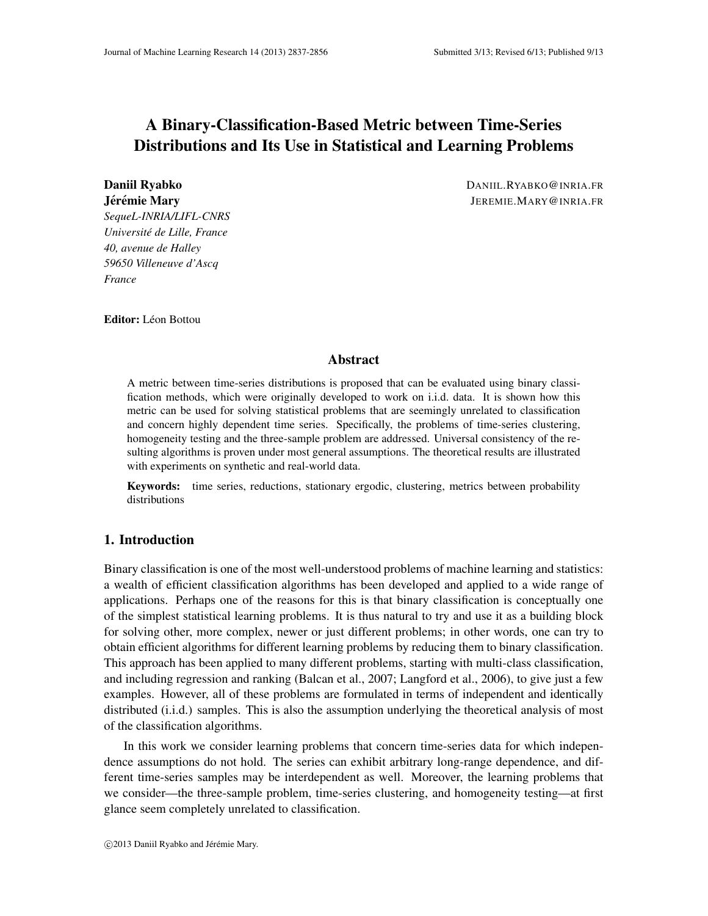# A Binary-Classification-Based Metric between Time-Series Distributions and Its Use in Statistical and Learning Problems

*SequeL-INRIA/LIFL-CNRS Universite de Lille, France ´ 40, avenue de Halley 59650 Villeneuve d'Ascq France*

Daniil Ryabko DANIIL.RYABKO@INRIA.FR **Jérémie Mary ´ Jerémie Mary ' Jerémie Mary ' Jerémie Mary ' Jerémie Mary ' Jerémie Mary ' Jerémie Mary ' Jerém** 

Editor: Léon Bottou

### Abstract

A metric between time-series distributions is proposed that can be evaluated using binary classification methods, which were originally developed to work on i.i.d. data. It is shown how this metric can be used for solving statistical problems that are seemingly unrelated to classification and concern highly dependent time series. Specifically, the problems of time-series clustering, homogeneity testing and the three-sample problem are addressed. Universal consistency of the resulting algorithms is proven under most general assumptions. The theoretical results are illustrated with experiments on synthetic and real-world data.

Keywords: time series, reductions, stationary ergodic, clustering, metrics between probability distributions

# 1. Introduction

Binary classification is one of the most well-understood problems of machine learning and statistics: a wealth of efficient classification algorithms has been developed and applied to a wide range of applications. Perhaps one of the reasons for this is that binary classification is conceptually one of the simplest statistical learning problems. It is thus natural to try and use it as a building block for solving other, more complex, newer or just different problems; in other words, one can try to obtain efficient algorithms for different learning problems by reducing them to binary classification. This approach has been applied to many different problems, starting with multi-class classification, and including regression and ranking (Balcan et al., 2007; Langford et al., 2006), to give just a few examples. However, all of these problems are formulated in terms of independent and identically distributed (i.i.d.) samples. This is also the assumption underlying the theoretical analysis of most of the classification algorithms.

In this work we consider learning problems that concern time-series data for which independence assumptions do not hold. The series can exhibit arbitrary long-range dependence, and different time-series samples may be interdependent as well. Moreover, the learning problems that we consider—the three-sample problem, time-series clustering, and homogeneity testing—at first glance seem completely unrelated to classification.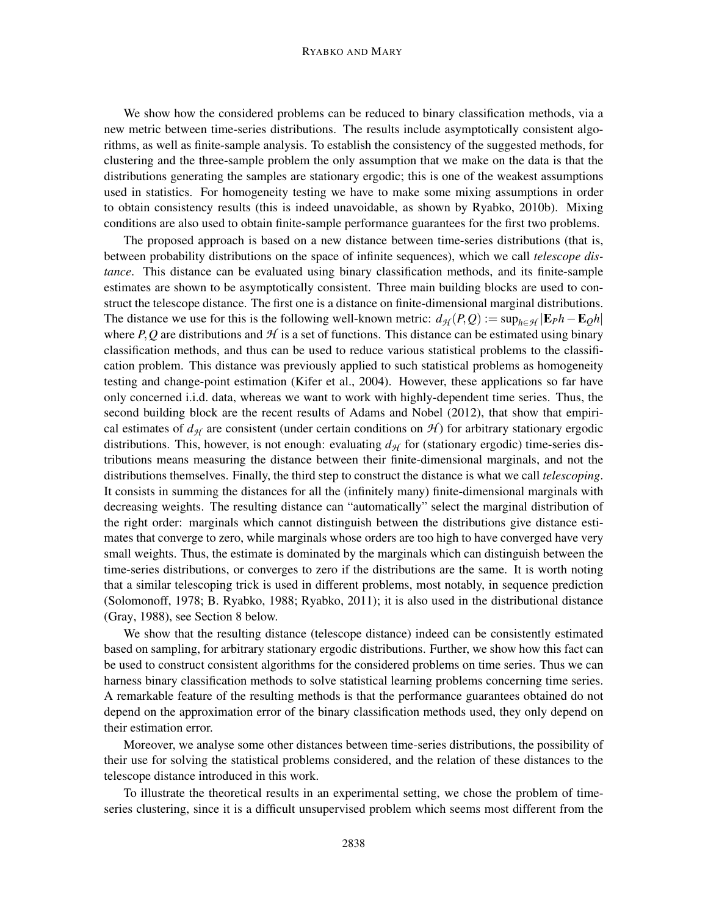#### RYABKO AND MARY

We show how the considered problems can be reduced to binary classification methods, via a new metric between time-series distributions. The results include asymptotically consistent algorithms, as well as finite-sample analysis. To establish the consistency of the suggested methods, for clustering and the three-sample problem the only assumption that we make on the data is that the distributions generating the samples are stationary ergodic; this is one of the weakest assumptions used in statistics. For homogeneity testing we have to make some mixing assumptions in order to obtain consistency results (this is indeed unavoidable, as shown by Ryabko, 2010b). Mixing conditions are also used to obtain finite-sample performance guarantees for the first two problems.

The proposed approach is based on a new distance between time-series distributions (that is, between probability distributions on the space of infinite sequences), which we call *telescope distance*. This distance can be evaluated using binary classification methods, and its finite-sample estimates are shown to be asymptotically consistent. Three main building blocks are used to construct the telescope distance. The first one is a distance on finite-dimensional marginal distributions. The distance we use for this is the following well-known metric:  $d_{\mathcal{H}}(P,Q) := \sup_{h \in \mathcal{H}} |E_P h - E_Q h|$ where *P*, Q are distributions and  $H$  is a set of functions. This distance can be estimated using binary classification methods, and thus can be used to reduce various statistical problems to the classification problem. This distance was previously applied to such statistical problems as homogeneity testing and change-point estimation (Kifer et al., 2004). However, these applications so far have only concerned i.i.d. data, whereas we want to work with highly-dependent time series. Thus, the second building block are the recent results of Adams and Nobel (2012), that show that empirical estimates of  $d_H$  are consistent (under certain conditions on  $H$ ) for arbitrary stationary ergodic distributions. This, however, is not enough: evaluating  $d_{\mathcal{H}}$  for (stationary ergodic) time-series distributions means measuring the distance between their finite-dimensional marginals, and not the distributions themselves. Finally, the third step to construct the distance is what we call *telescoping*. It consists in summing the distances for all the (infinitely many) finite-dimensional marginals with decreasing weights. The resulting distance can "automatically" select the marginal distribution of the right order: marginals which cannot distinguish between the distributions give distance estimates that converge to zero, while marginals whose orders are too high to have converged have very small weights. Thus, the estimate is dominated by the marginals which can distinguish between the time-series distributions, or converges to zero if the distributions are the same. It is worth noting that a similar telescoping trick is used in different problems, most notably, in sequence prediction (Solomonoff, 1978; B. Ryabko, 1988; Ryabko, 2011); it is also used in the distributional distance (Gray, 1988), see Section 8 below.

We show that the resulting distance (telescope distance) indeed can be consistently estimated based on sampling, for arbitrary stationary ergodic distributions. Further, we show how this fact can be used to construct consistent algorithms for the considered problems on time series. Thus we can harness binary classification methods to solve statistical learning problems concerning time series. A remarkable feature of the resulting methods is that the performance guarantees obtained do not depend on the approximation error of the binary classification methods used, they only depend on their estimation error.

Moreover, we analyse some other distances between time-series distributions, the possibility of their use for solving the statistical problems considered, and the relation of these distances to the telescope distance introduced in this work.

To illustrate the theoretical results in an experimental setting, we chose the problem of timeseries clustering, since it is a difficult unsupervised problem which seems most different from the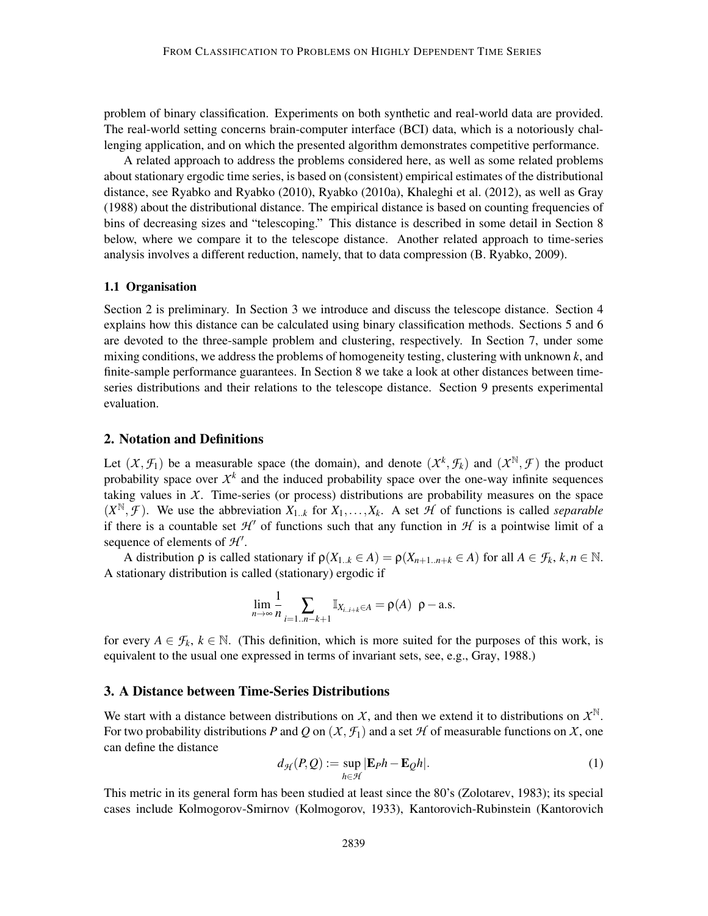problem of binary classification. Experiments on both synthetic and real-world data are provided. The real-world setting concerns brain-computer interface (BCI) data, which is a notoriously challenging application, and on which the presented algorithm demonstrates competitive performance.

A related approach to address the problems considered here, as well as some related problems about stationary ergodic time series, is based on (consistent) empirical estimates of the distributional distance, see Ryabko and Ryabko (2010), Ryabko (2010a), Khaleghi et al. (2012), as well as Gray (1988) about the distributional distance. The empirical distance is based on counting frequencies of bins of decreasing sizes and "telescoping." This distance is described in some detail in Section 8 below, where we compare it to the telescope distance. Another related approach to time-series analysis involves a different reduction, namely, that to data compression (B. Ryabko, 2009).

### 1.1 Organisation

Section 2 is preliminary. In Section 3 we introduce and discuss the telescope distance. Section 4 explains how this distance can be calculated using binary classification methods. Sections 5 and 6 are devoted to the three-sample problem and clustering, respectively. In Section 7, under some mixing conditions, we address the problems of homogeneity testing, clustering with unknown *k*, and finite-sample performance guarantees. In Section 8 we take a look at other distances between timeseries distributions and their relations to the telescope distance. Section 9 presents experimental evaluation.

#### 2. Notation and Definitions

Let  $(X, \mathcal{F}_1)$  be a measurable space (the domain), and denote  $(X^k, \mathcal{F}_k)$  and  $(X^{\mathbb{N}}, \mathcal{F})$  the product probability space over  $X^k$  and the induced probability space over the one-way infinite sequences taking values in *X*. Time-series (or process) distributions are probability measures on the space  $(X^{\mathbb{N}}, \mathcal{F})$ . We use the abbreviation  $X_{1,k}$  for  $X_1, \ldots, X_k$ . A set  $\mathcal{H}$  of functions is called *separable* if there is a countable set  $\mathcal{H}'$  of functions such that any function in  $\mathcal{H}$  is a pointwise limit of a sequence of elements of  $H'$ .

A distribution  $\rho$  is called stationary if  $\rho(X_{1..k} \in A) = \rho(X_{n+1..n+k} \in A)$  for all  $A \in \mathcal{F}_k$ ,  $k, n \in \mathbb{N}$ . A stationary distribution is called (stationary) ergodic if

$$
\lim_{n\to\infty}\frac{1}{n}\sum_{i=1..n-k+1}\mathbb{I}_{X_{i..i+k}\in A}=\rho(A)\ \ \rho-\text{a.s.}
$$

for every  $A \in \mathcal{F}_k$ ,  $k \in \mathbb{N}$ . (This definition, which is more suited for the purposes of this work, is equivalent to the usual one expressed in terms of invariant sets, see, e.g., Gray, 1988.)

#### 3. A Distance between Time-Series Distributions

We start with a distance between distributions on  $X$ , and then we extend it to distributions on  $X^{\mathbb{N}}$ . For two probability distributions *P* and *Q* on  $(X, \mathcal{F}_1)$  and a set *H* of measurable functions on *X*, one can define the distance

$$
d_{\mathcal{H}}(P,Q) := \sup_{h \in \mathcal{H}} |\mathbf{E}_P h - \mathbf{E}_Q h|.
$$
 (1)

This metric in its general form has been studied at least since the 80's (Zolotarev, 1983); its special cases include Kolmogorov-Smirnov (Kolmogorov, 1933), Kantorovich-Rubinstein (Kantorovich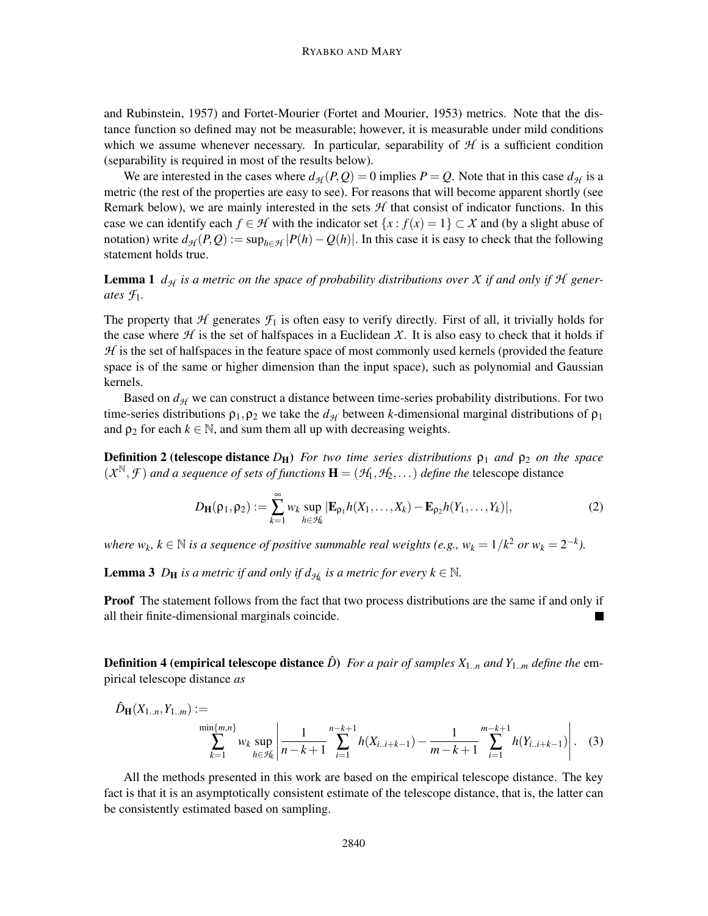and Rubinstein, 1957) and Fortet-Mourier (Fortet and Mourier, 1953) metrics. Note that the distance function so defined may not be measurable; however, it is measurable under mild conditions which we assume whenever necessary. In particular, separability of  $H$  is a sufficient condition (separability is required in most of the results below).

We are interested in the cases where  $d_{\mathcal{H}}(P,Q) = 0$  implies  $P = Q$ . Note that in this case  $d_{\mathcal{H}}$  is a metric (the rest of the properties are easy to see). For reasons that will become apparent shortly (see Remark below), we are mainly interested in the sets  $H$  that consist of indicator functions. In this case we can identify each  $f \in \mathcal{H}$  with the indicator set  $\{x : f(x) = 1\} \subset \mathcal{X}$  and (by a slight abuse of notation) write  $d_{\mathcal{H}}(P,Q) := \sup_{h \in \mathcal{H}} |P(h) - Q(h)|$ . In this case it is easy to check that the following statement holds true.

**Lemma 1**  $d_{\mathcal{H}}$  *is a metric on the space of probability distributions over X if and only if*  $\mathcal{H}$  *generates*  $\mathcal{F}_1$ *.* 

The property that  $H$  generates  $\mathcal{F}_1$  is often easy to verify directly. First of all, it trivially holds for the case where  $H$  is the set of halfspaces in a Euclidean X. It is also easy to check that it holds if  $H$  is the set of halfspaces in the feature space of most commonly used kernels (provided the feature space is of the same or higher dimension than the input space), such as polynomial and Gaussian kernels.

Based on  $d_{\mathcal{H}}$  we can construct a distance between time-series probability distributions. For two time-series distributions  $ρ_1, ρ_2$  we take the  $d_{\mathcal{H}}$  between *k*-dimensional marginal distributions of  $ρ_1$ and  $\rho_2$  for each  $k \in \mathbb{N}$ , and sum them all up with decreasing weights.

**Definition 2 (telescope distance**  $D_H$ ) *For two time series distributions*  $\rho_1$  *and*  $\rho_2$  *on the space*  $(X^{\mathbb{N}}, \mathcal{F})$  *and a sequence of sets of functions*  $\mathbf{H} = (\mathcal{H}_1, \mathcal{H}_2, ...)$  *define the* telescope distance

$$
D_{\mathbf{H}}(\rho_1, \rho_2) := \sum_{k=1}^{\infty} w_k \sup_{h \in \mathcal{H}_k} |\mathbf{E}_{\rho_1} h(X_1, \dots, X_k) - \mathbf{E}_{\rho_2} h(Y_1, \dots, Y_k)|,
$$
 (2)

*where*  $w_k$ ,  $k \in \mathbb{N}$  *is a sequence of positive summable real weights (e.g.,*  $w_k = 1/k^2$  *or*  $w_k = 2^{-k}$ ).

**Lemma 3**  $D_H$  *is a metric if and only if*  $d_{\mathcal{H}_k}$  *is a metric for every*  $k \in \mathbb{N}$ *.* 

**Proof** The statement follows from the fact that two process distributions are the same if and only if all their finite-dimensional marginals coincide.

**Definition 4 (empirical telescope distance**  $\hat{D}$ ) *For a pair of samples*  $X_{1..n}$  *and*  $Y_{1..m}$  *define the* empirical telescope distance *as*

$$
\hat{D}_{\mathbf{H}}(X_{1..n}, Y_{1..m}) := \sum_{\substack{\min\{m,n\} \\ k=1}}^{\min\{m,n\}} w_k \sup_{h \in \mathcal{H}_k} \left| \frac{1}{n-k+1} \sum_{i=1}^{n-k+1} h(X_{i..i+k-1}) - \frac{1}{m-k+1} \sum_{i=1}^{m-k+1} h(Y_{i..i+k-1}) \right|.
$$
 (3)

All the methods presented in this work are based on the empirical telescope distance. The key fact is that it is an asymptotically consistent estimate of the telescope distance, that is, the latter can be consistently estimated based on sampling.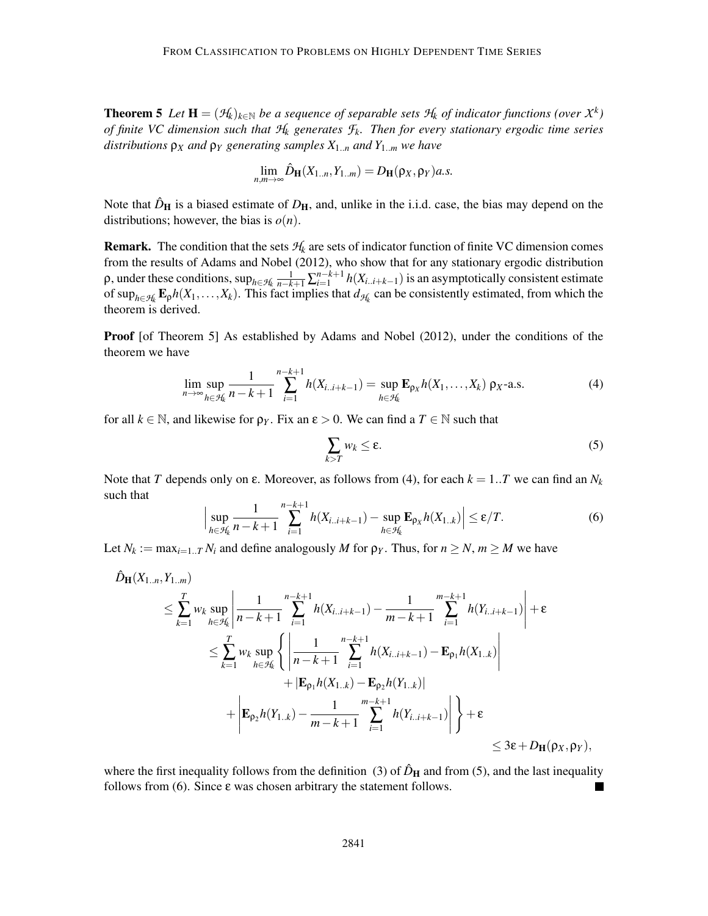**Theorem 5** Let  $\mathbf{H} = (\mathcal{H}_k)_{k \in \mathbb{N}}$  be a sequence of separable sets  $\mathcal{H}_k$  of indicator functions (over  $\mathcal{X}^k$ ) *of finite VC dimension such that H<sup>k</sup> generates Fk. Then for every stationary ergodic time series distributions* ρ*<sup>X</sup> and* ρ*<sup>Y</sup> generating samples X*1..*<sup>n</sup> and Y*1..*<sup>m</sup> we have*

$$
\lim_{n,m\to\infty}\hat{D}_{\mathbf{H}}(X_{1..n},Y_{1..m})=D_{\mathbf{H}}(\rho_X,\rho_Y)a.s.
$$

Note that  $\hat{D}_{\mathbf{H}}$  is a biased estimate of  $D_{\mathbf{H}}$ , and, unlike in the i.i.d. case, the bias may depend on the distributions; however, the bias is  $o(n)$ .

**Remark.** The condition that the sets  $H_k$  are sets of indicator function of finite VC dimension comes from the results of Adams and Nobel (2012), who show that for any stationary ergodic distribution  $\rho$ , under these conditions,  $\sup_{h \in \mathcal{H}_k} \frac{1}{n-k+1} \sum_{i=1}^{n-k+1} h(X_{i..i+k-1})$  is an asymptotically consistent estimate of  $\sup_{h \in \mathcal{H}_k}$   $\mathbf{E}_p h(X_1, \ldots, X_k)$ . This fact implies that  $d_{\mathcal{H}_k}$  can be consistently estimated, from which the theorem is derived.

Proof [of Theorem 5] As established by Adams and Nobel (2012), under the conditions of the theorem we have

$$
\lim_{n \to \infty} \sup_{h \in \mathcal{H}_k} \frac{1}{n - k + 1} \sum_{i=1}^{n - k + 1} h(X_{i \dots i + k - 1}) = \sup_{h \in \mathcal{H}_k} \mathbf{E}_{\rho_X} h(X_1, \dots, X_k) \, \rho_X\text{-a.s.} \tag{4}
$$

for all  $k \in \mathbb{N}$ , and likewise for  $\rho_Y$ . Fix an  $\varepsilon > 0$ . We can find a  $T \in \mathbb{N}$  such that

$$
\sum_{k>T} w_k \le \varepsilon. \tag{5}
$$

Note that *T* depends only on  $\varepsilon$ . Moreover, as follows from (4), for each  $k = 1..T$  we can find an  $N_k$ such that

$$
\Big|\sup_{h \in \mathcal{H}_k} \frac{1}{n - k + 1} \sum_{i=1}^{n - k + 1} h(X_{i \ldots i + k - 1}) - \sup_{h \in \mathcal{H}_k} \mathbf{E}_{\rho_X} h(X_{1 \ldots k})\Big| \le \varepsilon / T. \tag{6}
$$

Let  $N_k := \max_{i=1..T} N_i$  and define analogously *M* for  $\rho_Y$ . Thus, for  $n \ge N$ ,  $m \ge M$  we have

$$
\hat{D}_{\mathbf{H}}(X_{1..n}, Y_{1..m})\n\leq \sum_{k=1}^{T} w_k \sup_{h \in \mathcal{H}_k} \left| \frac{1}{n-k+1} \sum_{i=1}^{n-k+1} h(X_{i..i+k-1}) - \frac{1}{m-k+1} \sum_{i=1}^{m-k+1} h(Y_{i..i+k-1}) \right| + \varepsilon
$$
\n
$$
\leq \sum_{k=1}^{T} w_k \sup_{h \in \mathcal{H}_k} \left\{ \left| \frac{1}{n-k+1} \sum_{i=1}^{n-k+1} h(X_{i..i+k-1}) - \mathbf{E}_{\rho_1} h(X_{1..k}) \right| + |\mathbf{E}_{\rho_1} h(X_{1..k}) - \mathbf{E}_{\rho_2} h(Y_{1..k})| + |\mathbf{E}_{\rho_2} h(Y_{1..k}) - \frac{1}{m-k+1} \sum_{i=1}^{m-k+1} h(Y_{i..i+k-1})| \right\} + \varepsilon
$$
\n
$$
\leq 3\varepsilon + D_{\mathbf{H}}(\rho_X, \rho_Y),
$$

where the first inequality follows from the definition (3) of  $\hat{D}_{\text{H}}$  and from (5), and the last inequality follows from  $(6)$ . Since  $\varepsilon$  was chosen arbitrary the statement follows.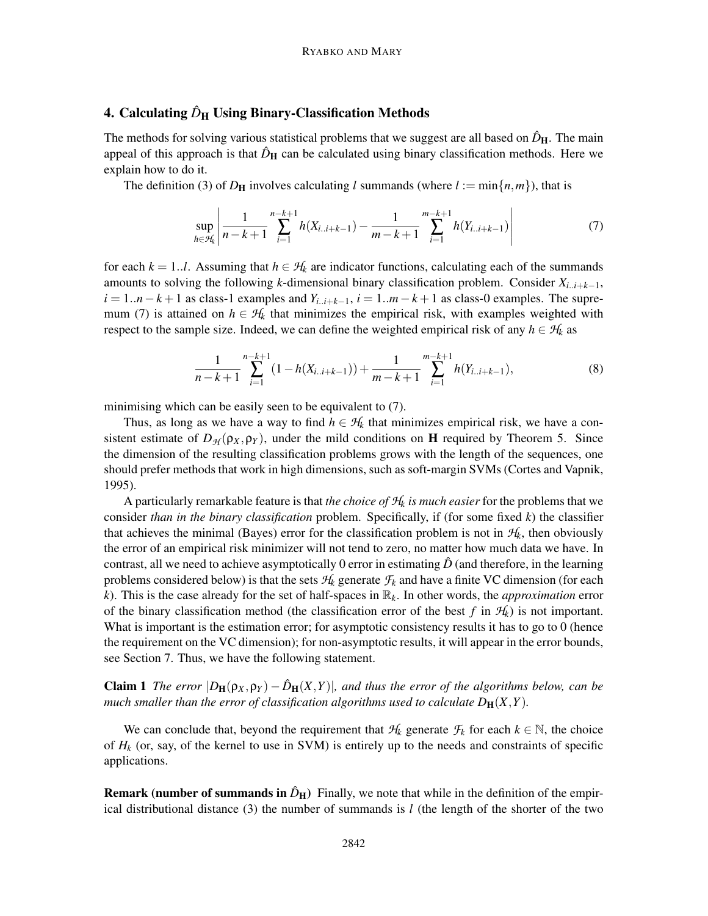# 4. Calculating  $\hat{D}_{\rm H}$  Using Binary-Classification Methods

The methods for solving various statistical problems that we suggest are all based on  $\hat{D}_{\text{H}}$ . The main appeal of this approach is that  $\hat{D}_{\text{H}}$  can be calculated using binary classification methods. Here we explain how to do it.

The definition (3) of  $D_H$  involves calculating *l* summands (where  $l := \min\{n, m\}$ ), that is

$$
\sup_{h \in \mathcal{H}_k} \left| \frac{1}{n - k + 1} \sum_{i=1}^{n - k + 1} h(X_{i \dots i + k - 1}) - \frac{1}{m - k + 1} \sum_{i=1}^{m - k + 1} h(Y_{i \dots i + k - 1}) \right| \tag{7}
$$

for each  $k = 1..l$ . Assuming that  $h \in H_k$  are indicator functions, calculating each of the summands amounts to solving the following *k*-dimensional binary classification problem. Consider *Xi*..*i*+*k*−1,  $i = 1..n-k+1$  as class-1 examples and  $Y_{i..i+k-1}$ ,  $i = 1..m-k+1$  as class-0 examples. The supremum (7) is attained on  $h \in H_k$  that minimizes the empirical risk, with examples weighted with respect to the sample size. Indeed, we can define the weighted empirical risk of any  $h \in H_k$  as

$$
\frac{1}{n-k+1} \sum_{i=1}^{n-k+1} (1 - h(X_{i..i+k-1})) + \frac{1}{m-k+1} \sum_{i=1}^{m-k+1} h(Y_{i..i+k-1}),
$$
 (8)

minimising which can be easily seen to be equivalent to (7).

Thus, as long as we have a way to find  $h \in H_k$  that minimizes empirical risk, we have a consistent estimate of  $D_{\mathcal{H}}(\rho_X, \rho_Y)$ , under the mild conditions on **H** required by Theorem 5. Since the dimension of the resulting classification problems grows with the length of the sequences, one should prefer methods that work in high dimensions, such as soft-margin SVMs (Cortes and Vapnik, 1995).

A particularly remarkable feature is that *the choice of H<sup>k</sup> is much easier* for the problems that we consider *than in the binary classification* problem. Specifically, if (for some fixed *k*) the classifier that achieves the minimal (Bayes) error for the classification problem is not in  $H_k$ , then obviously the error of an empirical risk minimizer will not tend to zero, no matter how much data we have. In contrast, all we need to achieve asymptotically 0 error in estimating  $\ddot{D}$  (and therefore, in the learning problems considered below) is that the sets  $H_k$  generate  $F_k$  and have a finite VC dimension (for each *k*). This is the case already for the set of half-spaces in R*k*. In other words, the *approximation* error of the binary classification method (the classification error of the best  $f$  in  $H_k$ ) is not important. What is important is the estimation error; for asymptotic consistency results it has to go to 0 (hence the requirement on the VC dimension); for non-asymptotic results, it will appear in the error bounds, see Section 7. Thus, we have the following statement.

**Claim 1** *The error*  $|D_H(\rho_X, \rho_Y) - \hat{D}_H(X, Y)|$ , and thus the error of the algorithms below, can be *much smaller than the error of classification algorithms used to calculate*  $D_H(X, Y)$ *.* 

We can conclude that, beyond the requirement that  $H_k$  generate  $F_k$  for each  $k \in \mathbb{N}$ , the choice of  $H_k$  (or, say, of the kernel to use in SVM) is entirely up to the needs and constraints of specific applications.

**Remark (number of summands in**  $\hat{D}_{\text{H}}$ **)** Finally, we note that while in the definition of the empirical distributional distance (3) the number of summands is *l* (the length of the shorter of the two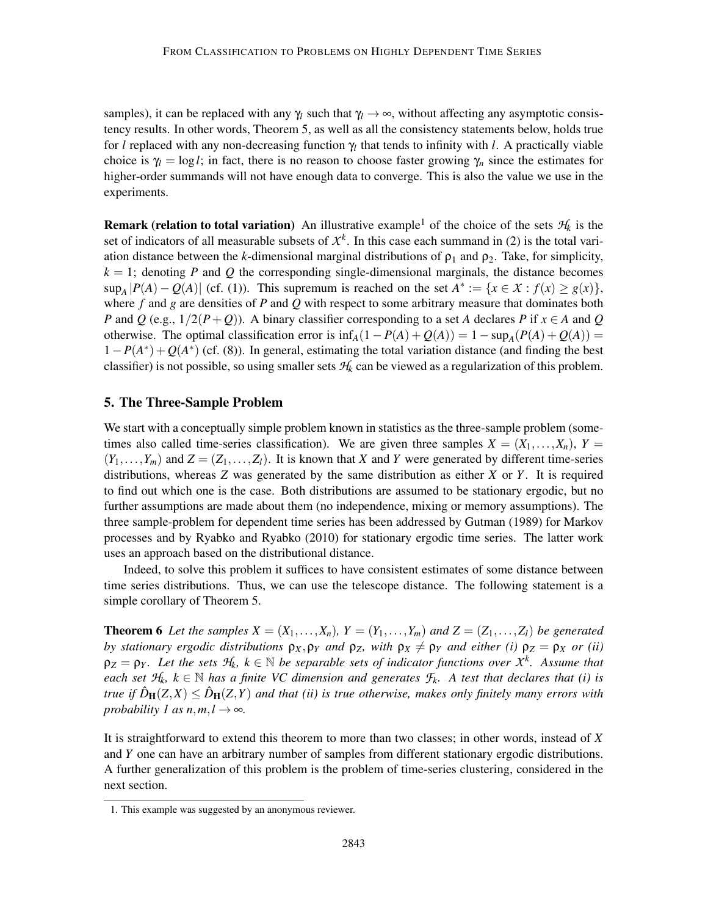samples), it can be replaced with any  $\gamma_l$  such that  $\gamma_l \to \infty$ , without affecting any asymptotic consistency results. In other words, Theorem 5, as well as all the consistency statements below, holds true for *l* replaced with any non-decreasing function γ*<sup>l</sup>* that tends to infinity with *l*. A practically viable choice is  $\gamma_l = \log l$ ; in fact, there is no reason to choose faster growing  $\gamma_n$  since the estimates for higher-order summands will not have enough data to converge. This is also the value we use in the experiments.

**Remark (relation to total variation)** An illustrative example<sup>1</sup> of the choice of the sets  $H_k$  is the set of indicators of all measurable subsets of  $X<sup>k</sup>$ . In this case each summand in (2) is the total variation distance between the *k*-dimensional marginal distributions of  $\rho_1$  and  $\rho_2$ . Take, for simplicity,  $k = 1$ ; denoting *P* and *Q* the corresponding single-dimensional marginals, the distance becomes  $\sup_A |P(A) - Q(A)|$  (cf. (1)). This supremum is reached on the set  $A^* := \{x \in \mathcal{X} : f(x) \ge g(x)\},\$ where *f* and *g* are densities of *P* and *Q* with respect to some arbitrary measure that dominates both *P* and *Q* (e.g.,  $1/2(P+Q)$ ). A binary classifier corresponding to a set *A* declares *P* if  $x \in A$  and *Q* otherwise. The optimal classification error is  $\inf_A(1 - P(A) + Q(A)) = 1 - \sup_A(P(A) + Q(A)) =$  $1-P(A^*)+Q(A^*)$  (cf. (8)). In general, estimating the total variation distance (and finding the best classifier) is not possible, so using smaller sets *H<sup>k</sup>* can be viewed as a regularization of this problem.

### 5. The Three-Sample Problem

We start with a conceptually simple problem known in statistics as the three-sample problem (sometimes also called time-series classification). We are given three samples  $X = (X_1, \ldots, X_n)$ ,  $Y =$  $(Y_1, \ldots, Y_m)$  and  $Z = (Z_1, \ldots, Z_l)$ . It is known that X and Y were generated by different time-series distributions, whereas *Z* was generated by the same distribution as either *X* or *Y*. It is required to find out which one is the case. Both distributions are assumed to be stationary ergodic, but no further assumptions are made about them (no independence, mixing or memory assumptions). The three sample-problem for dependent time series has been addressed by Gutman (1989) for Markov processes and by Ryabko and Ryabko (2010) for stationary ergodic time series. The latter work uses an approach based on the distributional distance.

Indeed, to solve this problem it suffices to have consistent estimates of some distance between time series distributions. Thus, we can use the telescope distance. The following statement is a simple corollary of Theorem 5.

**Theorem 6** Let the samples  $X = (X_1, \ldots, X_n)$ ,  $Y = (Y_1, \ldots, Y_m)$  and  $Z = (Z_1, \ldots, Z_l)$  be generated *by stationary ergodic distributions*  $\rho_X, \rho_Y$  *and*  $\rho_Z$ *, with*  $\rho_X \neq \rho_Y$  *and either (i)*  $\rho_Z = \rho_X$  *or (ii)*  $\rho_Z = \rho_Y$ *. Let the sets*  $H_k$ *,*  $k \in \mathbb{N}$  *be separable sets of indicator functions over*  $X^k$ *. Assume that each set*  $H_k$ *,*  $k \in \mathbb{N}$  *has a finite VC dimension and generates*  $F_k$ *. A test that declares that (i) is true if*  $\hat{D}_{\mathbf{H}}(Z,X) \leq \hat{D}_{\mathbf{H}}(Z,Y)$  *and that (ii) is true otherwise, makes only finitely many errors with probability 1 as*  $n, m, l \rightarrow \infty$ *.* 

It is straightforward to extend this theorem to more than two classes; in other words, instead of *X* and *Y* one can have an arbitrary number of samples from different stationary ergodic distributions. A further generalization of this problem is the problem of time-series clustering, considered in the next section.

<sup>1.</sup> This example was suggested by an anonymous reviewer.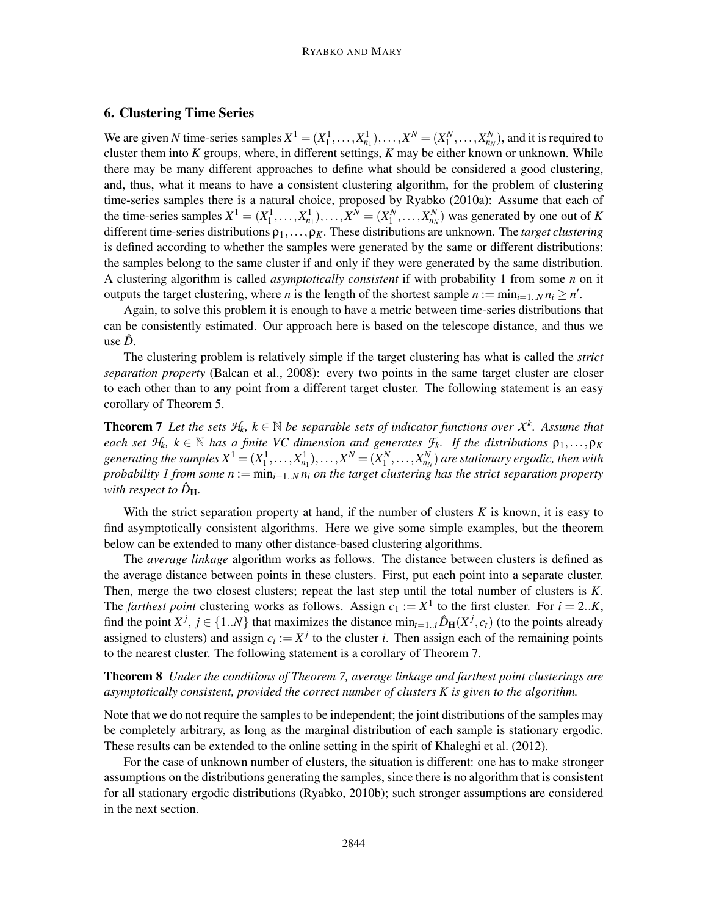### 6. Clustering Time Series

We are given *N* time-series samples  $X^1 = (X_1^1, \ldots, X_{n_1}^1), \ldots, X^N = (X_1^N, \ldots, X_{n_N}^N)$ , and it is required to cluster them into *K* groups, where, in different settings, *K* may be either known or unknown. While there may be many different approaches to define what should be considered a good clustering, and, thus, what it means to have a consistent clustering algorithm, for the problem of clustering time-series samples there is a natural choice, proposed by Ryabko (2010a): Assume that each of the time-series samples  $X^1 = (X_1^1, \ldots, X_{n_1}^1), \ldots, X^N = (X_1^N, \ldots, X_{n_N}^N)$  was generated by one out of *K* different time-series distributions  $\rho_1, \ldots, \rho_K$ . These distributions are unknown. The *target clustering* is defined according to whether the samples were generated by the same or different distributions: the samples belong to the same cluster if and only if they were generated by the same distribution. A clustering algorithm is called *asymptotically consistent* if with probability 1 from some *n* on it outputs the target clustering, where *n* is the length of the shortest sample  $n := \min_{i=1..N} n_i \ge n'$ .

Again, to solve this problem it is enough to have a metric between time-series distributions that can be consistently estimated. Our approach here is based on the telescope distance, and thus we use *D*ˆ.

The clustering problem is relatively simple if the target clustering has what is called the *strict separation property* (Balcan et al., 2008): every two points in the same target cluster are closer to each other than to any point from a different target cluster. The following statement is an easy corollary of Theorem 5.

**Theorem 7** Let the sets  $H_k$ ,  $k \in \mathbb{N}$  be separable sets of indicator functions over  $X^k$ . Assume that *each set*  $H_k$ *,*  $k \in \mathbb{N}$  *has a finite VC dimension and generates*  $F_k$ *. If the distributions*  $\rho_1, \ldots, \rho_K$ generating the samples  $X^1=(X_1^1,\ldots,X_{n_1}^1),\ldots,X^N=(X_1^N,\ldots,X_{n_N}^N)$  are stationary ergodic, then with *probability 1 from some*  $n := min_{i=1..N} n_i$  *on the target clustering has the strict separation property with respect to*  $\hat{D}_{\text{H}}$ *.* 

With the strict separation property at hand, if the number of clusters *K* is known, it is easy to find asymptotically consistent algorithms. Here we give some simple examples, but the theorem below can be extended to many other distance-based clustering algorithms.

The *average linkage* algorithm works as follows. The distance between clusters is defined as the average distance between points in these clusters. First, put each point into a separate cluster. Then, merge the two closest clusters; repeat the last step until the total number of clusters is *K*. The *farthest point* clustering works as follows. Assign  $c_1 := X^1$  to the first cluster. For  $i = 2..K$ , find the point  $X^j$ ,  $j \in \{1..N\}$  that maximizes the distance  $\min_{t=1..i} \hat{D}_{\mathbf{H}}(X^j, c_t)$  (to the points already assigned to clusters) and assign  $c_i := X^j$  to the cluster *i*. Then assign each of the remaining points to the nearest cluster. The following statement is a corollary of Theorem 7.

Theorem 8 *Under the conditions of Theorem 7, average linkage and farthest point clusterings are asymptotically consistent, provided the correct number of clusters K is given to the algorithm.*

Note that we do not require the samples to be independent; the joint distributions of the samples may be completely arbitrary, as long as the marginal distribution of each sample is stationary ergodic. These results can be extended to the online setting in the spirit of Khaleghi et al. (2012).

For the case of unknown number of clusters, the situation is different: one has to make stronger assumptions on the distributions generating the samples, since there is no algorithm that is consistent for all stationary ergodic distributions (Ryabko, 2010b); such stronger assumptions are considered in the next section.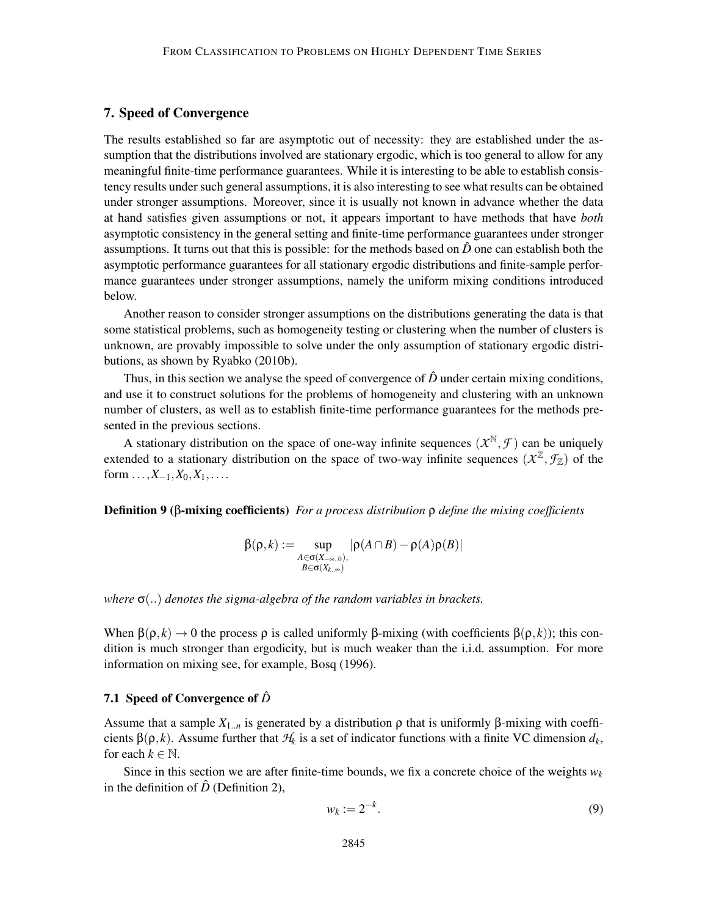### 7. Speed of Convergence

The results established so far are asymptotic out of necessity: they are established under the assumption that the distributions involved are stationary ergodic, which is too general to allow for any meaningful finite-time performance guarantees. While it is interesting to be able to establish consistency results under such general assumptions, it is also interesting to see what results can be obtained under stronger assumptions. Moreover, since it is usually not known in advance whether the data at hand satisfies given assumptions or not, it appears important to have methods that have *both* asymptotic consistency in the general setting and finite-time performance guarantees under stronger assumptions. It turns out that this is possible: for the methods based on  $\hat{D}$  one can establish both the asymptotic performance guarantees for all stationary ergodic distributions and finite-sample performance guarantees under stronger assumptions, namely the uniform mixing conditions introduced below.

Another reason to consider stronger assumptions on the distributions generating the data is that some statistical problems, such as homogeneity testing or clustering when the number of clusters is unknown, are provably impossible to solve under the only assumption of stationary ergodic distributions, as shown by Ryabko (2010b).

Thus, in this section we analyse the speed of convergence of  $\hat{D}$  under certain mixing conditions, and use it to construct solutions for the problems of homogeneity and clustering with an unknown number of clusters, as well as to establish finite-time performance guarantees for the methods presented in the previous sections.

A stationary distribution on the space of one-way infinite sequences  $(X^{\mathbb{N}}, \mathcal{F})$  can be uniquely extended to a stationary distribution on the space of two-way infinite sequences  $(X^{\mathbb{Z}}, \mathcal{F}_{\mathbb{Z}})$  of the form  $\dots, X_{-1}, X_0, X_1, \dots$ 

Definition 9 (β-mixing coefficients) *For a process distribution* ρ *define the mixing coefficients*

$$
\beta(\rho,k):=\sup_{\substack{A\in \sigma(X_{-\infty,0}),\\B\in \sigma(X_{k,\infty})}}|\rho(A\cap B)-\rho(A)\rho(B)|
$$

*where* σ(..) *denotes the sigma-algebra of the random variables in brackets.*

When  $\beta(\rho, k) \to 0$  the process  $\rho$  is called uniformly  $\beta$ -mixing (with coefficients  $\beta(\rho, k)$ ); this condition is much stronger than ergodicity, but is much weaker than the i.i.d. assumption. For more information on mixing see, for example, Bosq (1996).

### 7.1 Speed of Convergence of  $\hat{D}$

Assume that a sample  $X_{1...n}$  is generated by a distribution  $ρ$  that is uniformly β-mixing with coefficients  $\beta(\rho, k)$ . Assume further that  $\mathcal{H}_k$  is a set of indicator functions with a finite VC dimension  $d_k$ , for each  $k \in \mathbb{N}$ .

Since in this section we are after finite-time bounds, we fix a concrete choice of the weights  $w_k$ in the definition of  $\hat{D}$  (Definition 2),

$$
w_k := 2^{-k}.\tag{9}
$$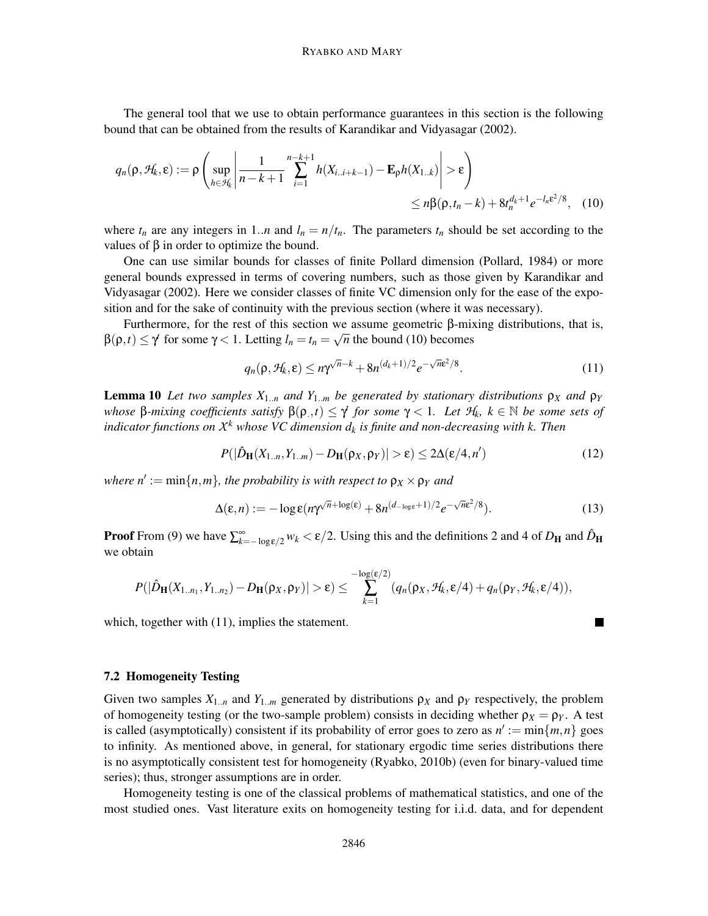The general tool that we use to obtain performance guarantees in this section is the following bound that can be obtained from the results of Karandikar and Vidyasagar (2002).

$$
q_n(\rho, \mathcal{H}_k, \varepsilon) := \rho \left( \sup_{h \in \mathcal{H}_k} \left| \frac{1}{n - k + 1} \sum_{i=1}^{n-k+1} h(X_{i..i+k-1}) - \mathbf{E}_{\rho} h(X_{1..k}) \right| > \varepsilon \right) \le n \beta(\rho, t_n - k) + 8t_n^{d_k + 1} e^{-l_n \varepsilon^2/8}, \quad (10)
$$

where  $t_n$  are any integers in 1.*n* and  $l_n = n/t_n$ . The parameters  $t_n$  should be set according to the values of β in order to optimize the bound.

One can use similar bounds for classes of finite Pollard dimension (Pollard, 1984) or more general bounds expressed in terms of covering numbers, such as those given by Karandikar and Vidyasagar (2002). Here we consider classes of finite VC dimension only for the ease of the exposition and for the sake of continuity with the previous section (where it was necessary).

Furthermore, for the rest of this section we assume geometric β-mixing distributions, that is,  $β(ρ, t) ≤ γ$  for some  $γ < 1$ . Letting  $l_n = t_n = \sqrt{n}$  the bound (10) becomes

$$
q_n(\rho, \mathcal{H}_k, \varepsilon) \le n\gamma^{\sqrt{n}-k} + 8n^{(d_k+1)/2}e^{-\sqrt{n}\varepsilon^2/8}.
$$
 (11)

**Lemma 10** *Let two samples*  $X_{1..n}$  *and*  $Y_{1..m}$  *be generated by stationary distributions*  $ρ_X$  *and*  $ρ_Y$ *whose* β-mixing coefficients satisfy  $β(ρ_1, t) ≤ γ$  for some  $γ < 1$ . Let  $H_k$ ,  $k ∈ ℕ$  be some sets of *indicator functions on X <sup>k</sup> whose VC dimension d<sup>k</sup> is finite and non-decreasing with k. Then*

$$
P(|\hat{D}_{\mathbf{H}}(X_{1..n}, Y_{1..m}) - D_{\mathbf{H}}(\rho_X, \rho_Y)| > \varepsilon) \le 2\Delta(\varepsilon/4, n')
$$
\n(12)

 $w$ *here*  $n' := \min\{n,m\}$ *, the probability is with respect to*  $\rho_X \times \rho_Y$  *and* 

$$
\Delta(\varepsilon, n) := -\log \varepsilon (n\gamma^{\sqrt{n} + \log(\varepsilon)} + 8n^{(d_{-\log\varepsilon} + 1)/2} e^{-\sqrt{n}\varepsilon^2/8}). \tag{13}
$$

 $\blacksquare$ 

**Proof** From (9) we have  $\sum_{k=-\log \epsilon/2}^{\infty} w_k < \epsilon/2$ . Using this and the definitions 2 and 4 of  $D_H$  and  $\hat{D}_H$ we obtain

$$
P(|\hat{D}_{\mathbf{H}}(X_{1..n_1},Y_{1..n_2})-D_{\mathbf{H}}(\rho_X,\rho_Y)|>\epsilon)\leq \sum_{k=1}^{-\log(\epsilon/2)}(q_n(\rho_X,\mathcal{H}_k,\epsilon/4)+q_n(\rho_Y,\mathcal{H}_k,\epsilon/4)),
$$

which, together with  $(11)$ , implies the statement.

#### 7.2 Homogeneity Testing

Given two samples  $X_{1..n}$  and  $Y_{1..m}$  generated by distributions  $\rho_X$  and  $\rho_Y$  respectively, the problem of homogeneity testing (or the two-sample problem) consists in deciding whether  $\rho_X = \rho_Y$ . A test is called (asymptotically) consistent if its probability of error goes to zero as  $n' := min\{m, n\}$  goes to infinity. As mentioned above, in general, for stationary ergodic time series distributions there is no asymptotically consistent test for homogeneity (Ryabko, 2010b) (even for binary-valued time series); thus, stronger assumptions are in order.

Homogeneity testing is one of the classical problems of mathematical statistics, and one of the most studied ones. Vast literature exits on homogeneity testing for i.i.d. data, and for dependent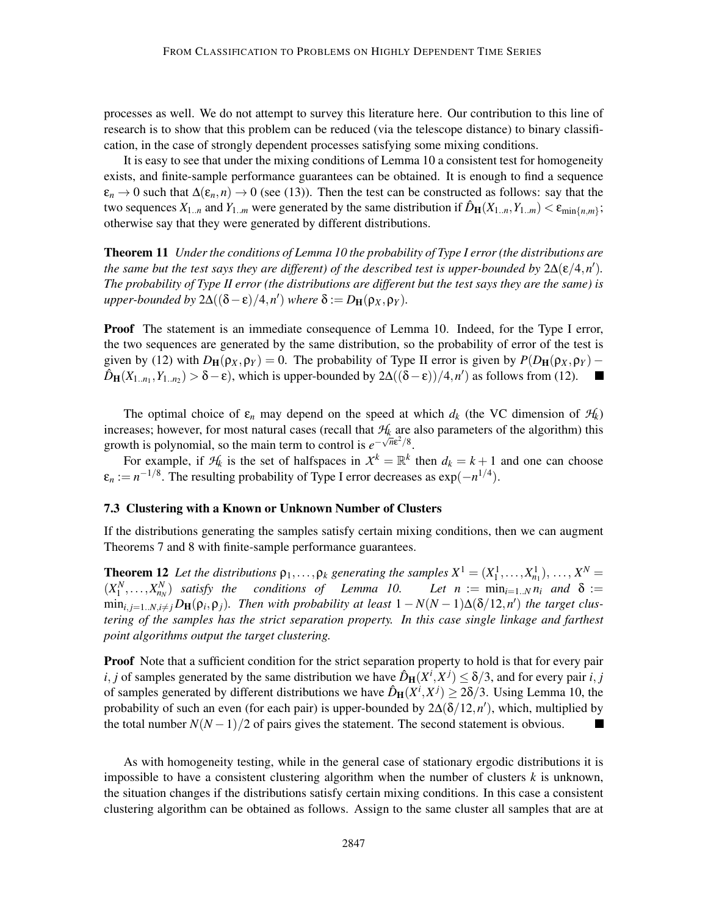processes as well. We do not attempt to survey this literature here. Our contribution to this line of research is to show that this problem can be reduced (via the telescope distance) to binary classification, in the case of strongly dependent processes satisfying some mixing conditions.

It is easy to see that under the mixing conditions of Lemma 10 a consistent test for homogeneity exists, and finite-sample performance guarantees can be obtained. It is enough to find a sequence  $\varepsilon_n \to 0$  such that  $\Delta(\varepsilon_n, n) \to 0$  (see (13)). Then the test can be constructed as follows: say that the two sequences  $X_{1..n}$  and  $Y_{1..m}$  were generated by the same distribution if  $\hat{D}_{\mathbf{H}}(X_{1..n}, Y_{1..m}) < \varepsilon_{\min\{n,m\}}$ ; otherwise say that they were generated by different distributions.

Theorem 11 *Under the conditions of Lemma 10 the probability of Type I error (the distributions are the same but the test says they are different) of the described test is upper-bounded by*  $2\Delta(\varepsilon/4, n')$ . *The probability of Type II error (the distributions are different but the test says they are the same) is*  $\mu$ pper-bounded by  $2\Delta((\delta - \varepsilon)/4, n')$  where  $\delta := D_{\mathbf{H}}(\rho_X, \rho_Y)$ .

**Proof** The statement is an immediate consequence of Lemma 10. Indeed, for the Type I error, the two sequences are generated by the same distribution, so the probability of error of the test is given by (12) with  $D_H(\rho_X, \rho_Y) = 0$ . The probability of Type II error is given by  $P(D_H(\rho_X, \rho_Y) - \hat{D}_H(X_{1,n_1}, Y_{1,n_2}) > \delta - \epsilon$ , which is upper-bounded by  $2\Delta((\delta - \epsilon))/4, n')$  as follows from (12).  $\hat{D}_{\mathbf{H}}(X_{1..n_1}, Y_{1..n_2}) > \delta - \varepsilon$ ), which is upper-bounded by 2 $\Delta((\delta - \varepsilon))/4, n'$  as follows from (12).

The optimal choice of  $\varepsilon_n$  may depend on the speed at which  $d_k$  (the VC dimension of  $H_k$ ) increases; however, for most natural cases (recall that  $H_k$  are also parameters of the algorithm) this growth is polynomial, so the main term to control is  $e^{-\sqrt{n}\epsilon^2/8}$ .

For example, if  $H_k$  is the set of halfspaces in  $X^k = \mathbb{R}^k$  then  $d_k = k + 1$  and one can choose  $\varepsilon_n := n^{-1/8}$ . The resulting probability of Type I error decreases as  $\exp(-n^{1/4})$ .

### 7.3 Clustering with a Known or Unknown Number of Clusters

If the distributions generating the samples satisfy certain mixing conditions, then we can augment Theorems 7 and 8 with finite-sample performance guarantees.

**Theorem 12** Let the distributions  $\rho_1, \ldots, \rho_k$  generating the samples  $X^1 = (X_1^1, \ldots, X_{n_1}^1), \ldots, X^N =$  $(X_1^N, \ldots, X_{n_N}^N)$  *satisfy the conditions of Lemma 10. Let n* := min<sub>*i*=1..*N n<sub>i</sub>* and  $\delta$  :=</sub>  $\min_{i,j=1..N,i\neq j}$   $D_{\mathbf{H}}(\rho_i,\rho_j)$ . Then with probability at least  $1-N(N-1)\Delta(\delta/12,n')$  the target clus*tering of the samples has the strict separation property. In this case single linkage and farthest point algorithms output the target clustering.*

**Proof** Note that a sufficient condition for the strict separation property to hold is that for every pair *i*, *j* of samples generated by the same distribution we have  $\hat{D}_{\mathbf{H}}(X^i, X^j) \leq \delta/3$ , and for every pair *i*, *j* of samples generated by different distributions we have  $\hat{D}_{\mathbf{H}}(X^i, X^j) \geq 2\delta/3$ . Using Lemma 10, the probability of such an even (for each pair) is upper-bounded by 2∆(δ/12,*n* ′ ), which, multiplied by the total number  $N(N-1)/2$  of pairs gives the statement. The second statement is obvious.

As with homogeneity testing, while in the general case of stationary ergodic distributions it is impossible to have a consistent clustering algorithm when the number of clusters  $k$  is unknown, the situation changes if the distributions satisfy certain mixing conditions. In this case a consistent clustering algorithm can be obtained as follows. Assign to the same cluster all samples that are at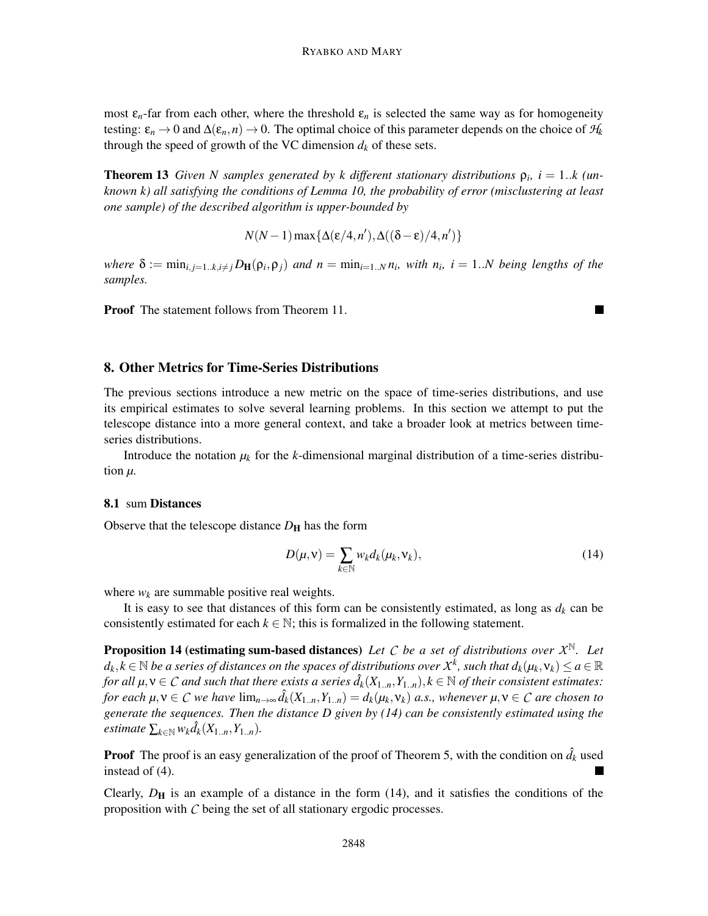most  $\varepsilon_n$ -far from each other, where the threshold  $\varepsilon_n$  is selected the same way as for homogeneity testing:  $\varepsilon_n \to 0$  and  $\Delta(\varepsilon_n, n) \to 0$ . The optimal choice of this parameter depends on the choice of  $H_k$ through the speed of growth of the VC dimension  $d_k$  of these sets.

**Theorem 13** *Given N samples generated by k different stationary distributions*  $\rho_i$ ,  $i = 1..k$  (*unknown k) all satisfying the conditions of Lemma 10, the probability of error (misclustering at least one sample) of the described algorithm is upper-bounded by*

$$
N(N-1)\max\{\Delta(\varepsilon/4,n'),\Delta((\delta-\varepsilon)/4,n')\}
$$

where  $\delta := \min_{i,j=1..k, i\neq j} D_H(\rho_i, \rho_j)$  and  $n = \min_{i=1..N} n_i$ , with  $n_i$ ,  $i = 1..N$  being lengths of the *samples.*

Proof The statement follows from Theorem 11.

#### 8. Other Metrics for Time-Series Distributions

The previous sections introduce a new metric on the space of time-series distributions, and use its empirical estimates to solve several learning problems. In this section we attempt to put the telescope distance into a more general context, and take a broader look at metrics between timeseries distributions.

Introduce the notation  $\mu_k$  for the *k*-dimensional marginal distribution of a time-series distribution *µ*.

### 8.1 sum Distances

Observe that the telescope distance  $D_H$  has the form

$$
D(\mu, \mathbf{v}) = \sum_{k \in \mathbb{N}} w_k d_k(\mu_k, \mathbf{v}_k), \tag{14}
$$

П

where  $w_k$  are summable positive real weights.

It is easy to see that distances of this form can be consistently estimated, as long as  $d_k$  can be consistently estimated for each  $k \in \mathbb{N}$ ; this is formalized in the following statement.

Proposition 14 (estimating sum-based distances) *Let C be a set of distributions over X* <sup>N</sup>*. Let*  $d_k, k \in \mathbb{N}$  *be a series of distances on the spaces of distributions over*  $X^k$ *, such that*  $d_k(\mu_k, \mathsf{v}_k) \leq a \in \mathbb{R}$ *for all*  $\mu, \nu \in C$  *and such that there exists a series*  $\hat{d}_k(X_{1..n}, Y_{1..n}), k \in \mathbb{N}$  *of their consistent estimates: for each*  $\mu, \nu \in C$  *we have*  $\lim_{n\to\infty} \hat{d}_k(X_{1..n}, Y_{1..n}) = d_k(\mu_k, \nu_k)$  *a.s., whenever*  $\mu, \nu \in C$  *are chosen to generate the sequences. Then the distance D given by (14) can be consistently estimated using the*  $\mathcal{E}_{k \in \mathbb{N}} w_k \hat{d}_k(X_{1..n}, Y_{1..n}).$ 

**Proof** The proof is an easy generalization of the proof of Theorem 5, with the condition on  $\hat{d}_k$  used instead of (4).

Clearly,  $D_{\rm H}$  is an example of a distance in the form (14), and it satisfies the conditions of the proposition with *C* being the set of all stationary ergodic processes.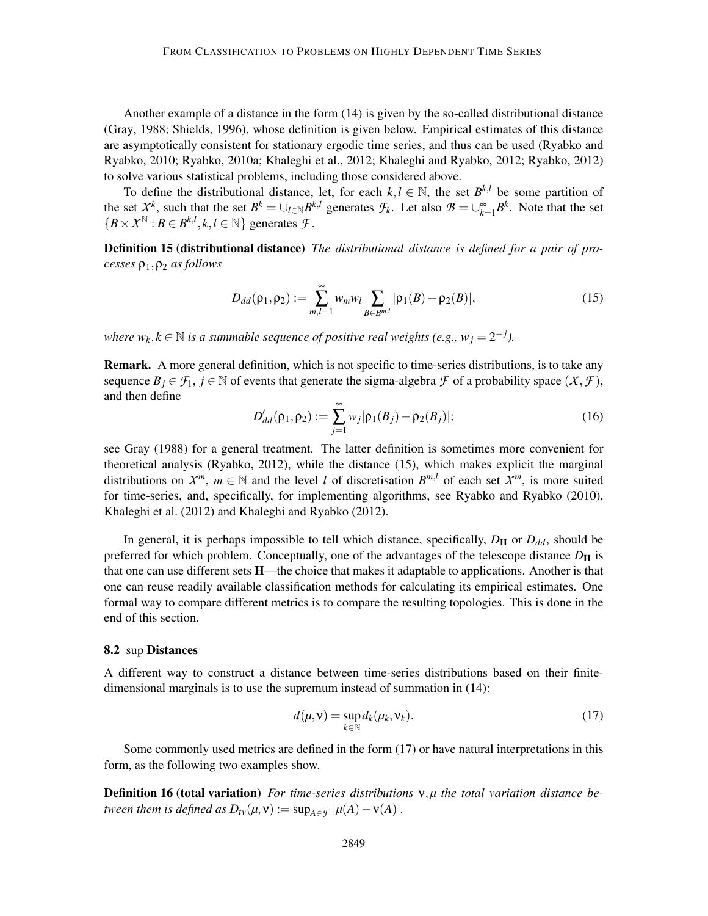Another example of a distance in the form (14) is given by the so-called distributional distance (Gray, 1988; Shields, 1996), whose definition is given below. Empirical estimates of this distance are asymptotically consistent for stationary ergodic time series, and thus can be used (Ryabko and Ryabko, 2010; Ryabko, 2010a; Khaleghi et al., 2012; Khaleghi and Ryabko, 2012; Ryabko, 2012) to solve various statistical problems, including those considered above.

To define the distributional distance, let, for each  $k, l \in \mathbb{N}$ , the set  $B^{k,l}$  be some partition of the set  $X^k$ , such that the set  $B^k = \bigcup_{l \in \mathbb{N}} B^{k,l}$  generates  $\mathcal{F}_k$ . Let also  $\mathcal{B} = \bigcup_{k=1}^{\infty} B^k$ . Note that the set  ${B \times X^{\mathbb{N}} : B \in B^{k,l}, k, l \in \mathbb{N}}$  generates *F*.

Definition 15 (distributional distance) *The distributional distance is defined for a pair of processes* ρ1,ρ<sup>2</sup> *as follows*

$$
D_{dd}(\rho_1, \rho_2) := \sum_{m,l=1}^{\infty} w_m w_l \sum_{B \in B^{m,l}} |\rho_1(B) - \rho_2(B)|,
$$
 (15)

*where*  $w_k, k \in \mathbb{N}$  *is a summable sequence of positive real weights (e.g.,*  $w_j = 2^{-j}$ *).* 

Remark. A more general definition, which is not specific to time-series distributions, is to take any sequence  $B_j \in \mathcal{F}_1$ ,  $j \in \mathbb{N}$  of events that generate the sigma-algebra  $\mathcal F$  of a probability space  $(\mathcal X, \mathcal F)$ , and then define

$$
D'_{dd}(\rho_1, \rho_2) := \sum_{j=1}^{\infty} w_j |\rho_1(B_j) - \rho_2(B_j)|;
$$
 (16)

see Gray (1988) for a general treatment. The latter definition is sometimes more convenient for theoretical analysis (Ryabko, 2012), while the distance (15), which makes explicit the marginal distributions on  $X^m$ ,  $m \in \mathbb{N}$  and the level *l* of discretisation  $B^{m,l}$  of each set  $X^m$ , is more suited for time-series, and, specifically, for implementing algorithms, see Ryabko and Ryabko (2010), Khaleghi et al. (2012) and Khaleghi and Ryabko (2012).

In general, it is perhaps impossible to tell which distance, specifically,  $D_H$  or  $D_{dd}$ , should be preferred for which problem. Conceptually, one of the advantages of the telescope distance  $D_H$  is that one can use different sets H—the choice that makes it adaptable to applications. Another is that one can reuse readily available classification methods for calculating its empirical estimates. One formal way to compare different metrics is to compare the resulting topologies. This is done in the end of this section.

#### 8.2 sup Distances

A different way to construct a distance between time-series distributions based on their finitedimensional marginals is to use the supremum instead of summation in (14):

$$
d(\mu, \mathbf{v}) = \sup_{k \in \mathbb{N}} d_k(\mu_k, \mathbf{v}_k).
$$
 (17)

Some commonly used metrics are defined in the form (17) or have natural interpretations in this form, as the following two examples show.

Definition 16 (total variation) *For time-series distributions* ν,*µ the total variation distance between them is defined as*  $D_{tv}(\mu, v) := \sup_{A \in \mathcal{F}} |\mu(A) - v(A)|$ *.*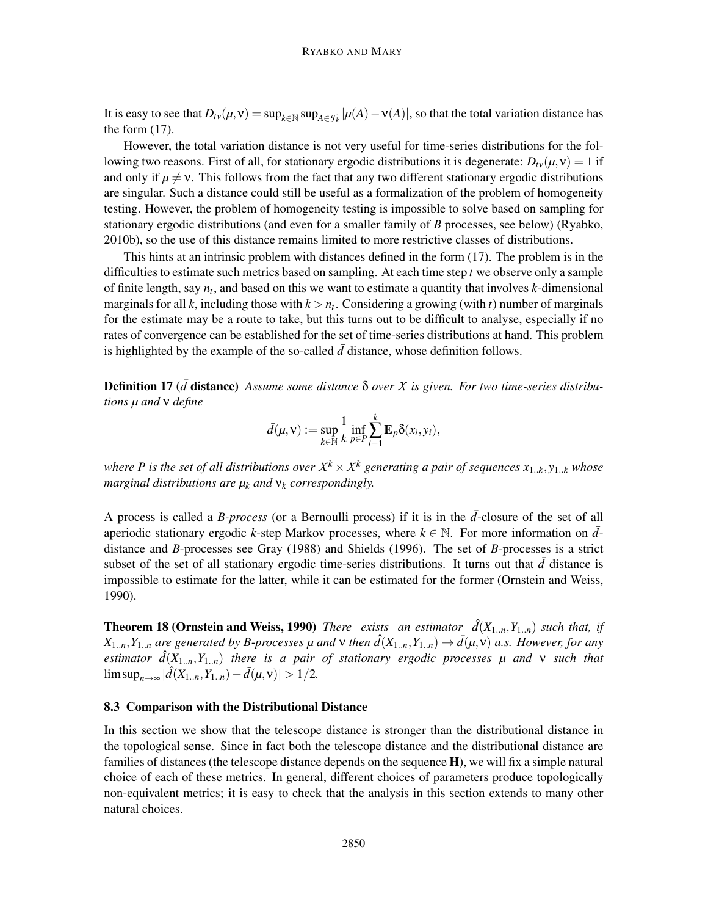It is easy to see that  $D_{tv}(\mu, v) = \sup_{k \in \mathbb{N}} \sup_{A \in \mathcal{F}_k} |\mu(A) - v(A)|$ , so that the total variation distance has the form (17).

However, the total variation distance is not very useful for time-series distributions for the following two reasons. First of all, for stationary ergodic distributions it is degenerate:  $D_{\nu}(\mu, v) = 1$  if and only if  $\mu \neq v$ . This follows from the fact that any two different stationary ergodic distributions are singular. Such a distance could still be useful as a formalization of the problem of homogeneity testing. However, the problem of homogeneity testing is impossible to solve based on sampling for stationary ergodic distributions (and even for a smaller family of *B* processes, see below) (Ryabko, 2010b), so the use of this distance remains limited to more restrictive classes of distributions.

This hints at an intrinsic problem with distances defined in the form (17). The problem is in the difficulties to estimate such metrics based on sampling. At each time step *t* we observe only a sample of finite length, say *n<sup>t</sup>* , and based on this we want to estimate a quantity that involves *k*-dimensional marginals for all *k*, including those with  $k > n_t$ . Considering a growing (with *t*) number of marginals for the estimate may be a route to take, but this turns out to be difficult to analyse, especially if no rates of convergence can be established for the set of time-series distributions at hand. This problem is highlighted by the example of the so-called  $\bar{d}$  distance, whose definition follows.

**Definition 17** (*d* distance) *Assume some distance* δ *over X is given. For two time-series distributions µ and* ν *define*

$$
\bar{d}(\mu, \mathbf{v}) := \sup_{k \in \mathbb{N}} \frac{1}{k} \inf_{p \in P} \sum_{i=1}^{k} \mathbf{E}_p \delta(x_i, y_i),
$$

where P is the set of all distributions over  $X^k \times X^k$  generating a pair of sequences  $x_{1..k}, y_{1..k}$  whose *marginal distributions are µ<sup>k</sup> and* ν*<sup>k</sup> correspondingly.*

A process is called a *B-process* (or a Bernoulli process) if it is in the *d*¯-closure of the set of all aperiodic stationary ergodic *k*-step Markov processes, where  $k \in \mathbb{N}$ . For more information on  $\overline{d}$ distance and *B*-processes see Gray (1988) and Shields (1996). The set of *B*-processes is a strict subset of the set of all stationary ergodic time-series distributions. It turns out that  $\bar{d}$  distance is impossible to estimate for the latter, while it can be estimated for the former (Ornstein and Weiss, 1990).

**Theorem 18 (Ornstein and Weiss, 1990)** *There exists an estimator*  $\hat{d}(X_{1..n}, Y_{1..n})$  *such that, if*  $X_{1..n}, Y_{1..n}$  *are generated by B-processes µ and*  $\nu$  *then*  $\hat{d}(X_{1..n}, Y_{1..n}) \to \bar{d}(\mu, \nu)$  *a.s. However, for any estimator*  $\hat{d}(X_{1..n}, Y_{1..n})$  *there is a pair of stationary ergodic processes*  $\mu$  *and*  $\nu$  *such that*  $\limsup_{n\to\infty} |\hat{d}(X_{1..n},Y_{1..n}) - \bar{d}(\mu,\nu)| > 1/2.$ 

### 8.3 Comparison with the Distributional Distance

In this section we show that the telescope distance is stronger than the distributional distance in the topological sense. Since in fact both the telescope distance and the distributional distance are families of distances (the telescope distance depends on the sequence  $H$ ), we will fix a simple natural choice of each of these metrics. In general, different choices of parameters produce topologically non-equivalent metrics; it is easy to check that the analysis in this section extends to many other natural choices.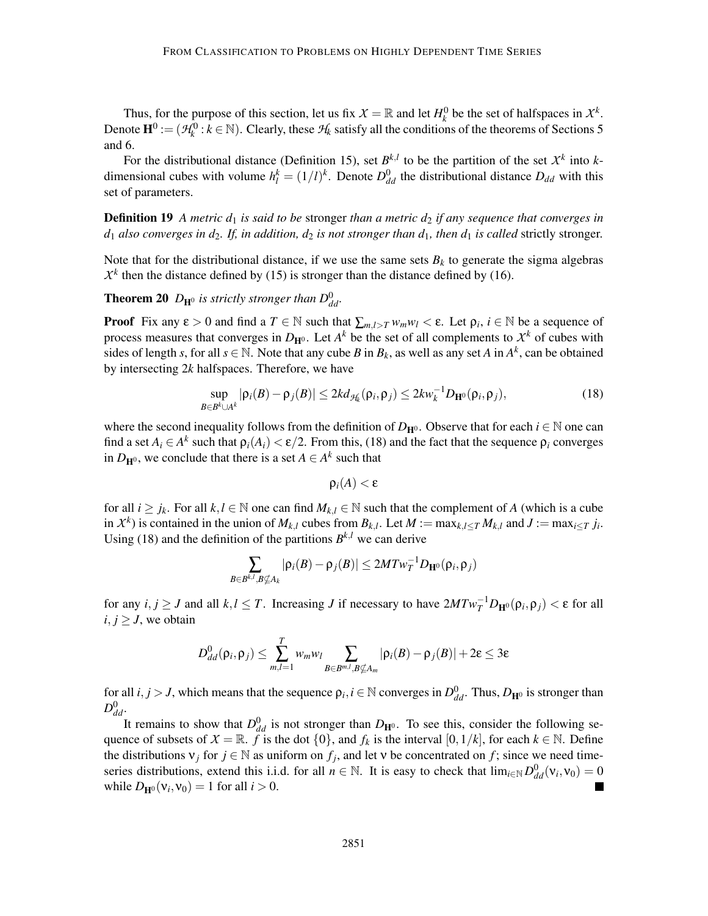Thus, for the purpose of this section, let us fix  $X = \mathbb{R}$  and let  $H_k^0$  be the set of halfspaces in  $X^k$ . Denote  $\mathbf{H}^0 := (\mathcal{H}^0_k : k \in \mathbb{N})$ . Clearly, these  $\mathcal{H}_k$  satisfy all the conditions of the theorems of Sections 5 and 6.

For the distributional distance (Definition 15), set  $B^{k,l}$  to be the partition of the set  $X^k$  into *k*dimensional cubes with volume  $h_l^k = (1/l)^k$ . Denote  $D_{dd}^0$  the distributional distance  $D_{dd}$  with this set of parameters.

**Definition 19** *A metric d<sub>1</sub> is said to be stronger than a metric d<sub>2</sub> <i>if any sequence that converges in*  $d_1$  *also converges in*  $d_2$ *. If, in addition,*  $d_2$  *is not stronger than*  $d_1$ *, then*  $d_1$  *<i>is called* strictly stronger.

Note that for the distributional distance, if we use the same sets  $B_k$  to generate the sigma algebras  $X<sup>k</sup>$  then the distance defined by (15) is stronger than the distance defined by (16).

**Theorem 20**  $D_{\mathbf{H}^0}$  is strictly stronger than  $D_{dd}^0$ .

**Proof** Fix any  $\varepsilon > 0$  and find a  $T \in \mathbb{N}$  such that  $\sum_{m,l>T} w_m w_l < \varepsilon$ . Let  $\rho_i$ ,  $i \in \mathbb{N}$  be a sequence of process measures that converges in  $D_{\mathbf{H}^0}$ . Let  $A^k$  be the set of all complements to  $\mathcal{X}^k$  of cubes with sides of length *s*, for all  $s \in \mathbb{N}$ . Note that any cube *B* in  $B_k$ , as well as any set *A* in  $A^k$ , can be obtained by intersecting 2*k* halfspaces. Therefore, we have

$$
\sup_{B\in B^k\cup A^k}|\rho_i(B)-\rho_j(B)|\leq 2kd_{\mathcal{H}_k}(\rho_i,\rho_j)\leq 2kw_k^{-1}D_{\mathbf{H}^0}(\rho_i,\rho_j),\tag{18}
$$

where the second inequality follows from the definition of  $D_{\mathbf{H}^0}$ . Observe that for each  $i \in \mathbb{N}$  one can find a set  $A_i \in A^k$  such that  $\rho_i(A_i) < \varepsilon/2$ . From this, (18) and the fact that the sequence  $\rho_i$  converges in  $D_{\mathbf{H}^0}$ , we conclude that there is a set  $A \in A^k$  such that

$$
\rho_i(A) < \varepsilon
$$

for all  $i \geq j_k$ . For all  $k, l \in \mathbb{N}$  one can find  $M_{k,l} \in \mathbb{N}$  such that the complement of *A* (which is a cube in  $\mathcal{X}^k$ ) is contained in the union of  $M_{k,l}$  cubes from  $B_{k,l}$ . Let  $M := \max_{k,l \leq T} M_{k,l}$  and  $J := \max_{i \leq T} j_i$ . Using (18) and the definition of the partitions  $B^{k,l}$  we can derive

$$
\sum_{B\in B^{k,l}, B\nsubseteq A_k} |\rho_i(B)-\rho_j(B)| \leq 2MTw_T^{-1}D_{\mathbf{H}^0}(\rho_i, \rho_j)
$$

for any  $i, j \ge J$  and all  $k, l \le T$ . Increasing *J* if necessary to have  $2MTw_T^{-1}D_{\mathbf{H}^0}(\rho_i, \rho_j) < \varepsilon$  for all *i*,  $j \geq J$ , we obtain

$$
D_{dd}^{0}(\rho_i, \rho_j) \leq \sum_{m,l=1}^{T} w_m w_l \sum_{B \in B^{m,l}, B \nsubseteq A_m} |\rho_i(B) - \rho_j(B)| + 2\varepsilon \leq 3\varepsilon
$$

for all  $i, j > J$ , which means that the sequence  $\rho_i, i \in \mathbb{N}$  converges in  $D_{dd}^0$ . Thus,  $D_{\mathbf{H}^0}$  is stronger than  $D_{dd}^0$ .

It remains to show that  $D_{dd}^0$  is not stronger than  $D_{\text{H}^0}$ . To see this, consider the following sequence of subsets of  $X = \mathbb{R}$ . *f* is the dot  $\{0\}$ , and  $f_k$  is the interval  $[0,1/k]$ , for each  $k \in \mathbb{N}$ . Define the distributions  $v_j$  for  $j \in \mathbb{N}$  as uniform on  $f_j$ , and let v be concentrated on  $f$ ; since we need timeseries distributions, extend this i.i.d. for all  $n \in \mathbb{N}$ . It is easy to check that  $\lim_{i \in \mathbb{N}} D_{dd}^0(v_i, v_0) = 0$ while  $D_{\mathbf{H}^{0}}(\mathsf{v}_{i},\mathsf{v}_{0})=1$  for all  $i>0$ .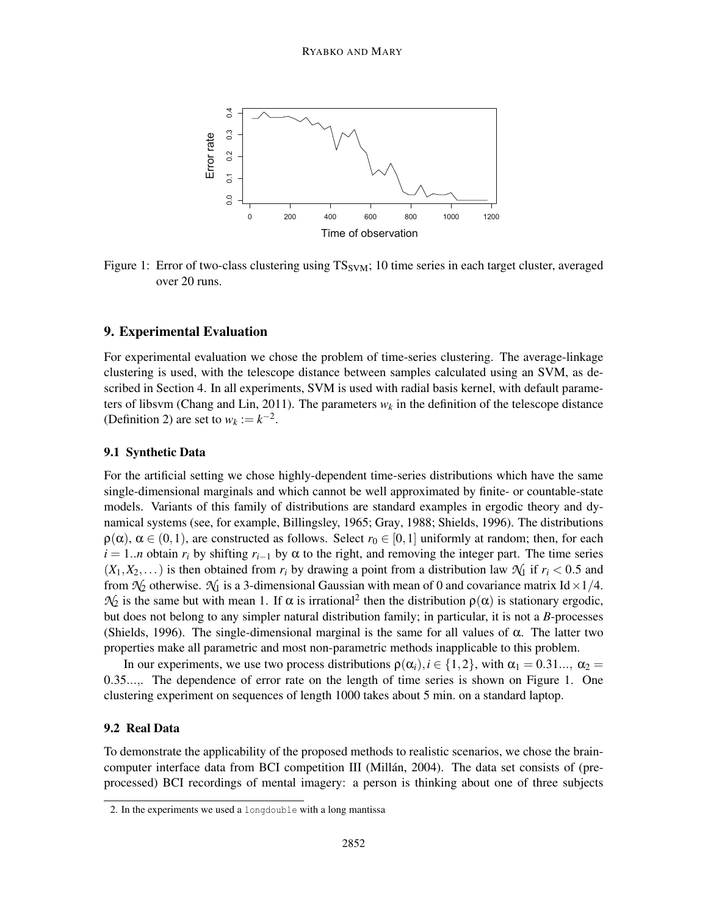

Figure 1: Error of two-class clustering using  $TS<sub>SVM</sub>$ ; 10 time series in each target cluster, averaged over 20 runs.

### 9. Experimental Evaluation

For experimental evaluation we chose the problem of time-series clustering. The average-linkage clustering is used, with the telescope distance between samples calculated using an SVM, as described in Section 4. In all experiments, SVM is used with radial basis kernel, with default parameters of libsvm (Chang and Lin, 2011). The parameters  $w_k$  in the definition of the telescope distance (Definition 2) are set to  $w_k := k^{-2}$ .

### 9.1 Synthetic Data

For the artificial setting we chose highly-dependent time-series distributions which have the same single-dimensional marginals and which cannot be well approximated by finite- or countable-state models. Variants of this family of distributions are standard examples in ergodic theory and dynamical systems (see, for example, Billingsley, 1965; Gray, 1988; Shields, 1996). The distributions  $\rho(\alpha)$ ,  $\alpha \in (0,1)$ , are constructed as follows. Select  $r_0 \in [0,1]$  uniformly at random; then, for each  $i = 1..n$  obtain  $r_i$  by shifting  $r_{i-1}$  by  $\alpha$  to the right, and removing the integer part. The time series  $(X_1, X_2,...)$  is then obtained from  $r_i$  by drawing a point from a distribution law  $\mathcal{N}_1$  if  $r_i < 0.5$  and from  $\mathcal{N}_2$  otherwise.  $\mathcal{N}_1$  is a 3-dimensional Gaussian with mean of 0 and covariance matrix Id × 1/4.  $\mathcal{N}_2$  is the same but with mean 1. If  $\alpha$  is irrational<sup>2</sup> then the distribution  $\rho(\alpha)$  is stationary ergodic, but does not belong to any simpler natural distribution family; in particular, it is not a *B*-processes (Shields, 1996). The single-dimensional marginal is the same for all values of  $\alpha$ . The latter two properties make all parametric and most non-parametric methods inapplicable to this problem.

In our experiments, we use two process distributions  $\rho(\alpha_i)$ ,  $i \in \{1,2\}$ , with  $\alpha_1 = 0.31...$ ,  $\alpha_2 =$ 0.35...,. The dependence of error rate on the length of time series is shown on Figure 1. One clustering experiment on sequences of length 1000 takes about 5 min. on a standard laptop.

#### 9.2 Real Data

To demonstrate the applicability of the proposed methods to realistic scenarios, we chose the braincomputer interface data from BCI competition III (Millan, 2004). The data set consists of (preprocessed) BCI recordings of mental imagery: a person is thinking about one of three subjects

<sup>2.</sup> In the experiments we used a longdouble with a long mantissa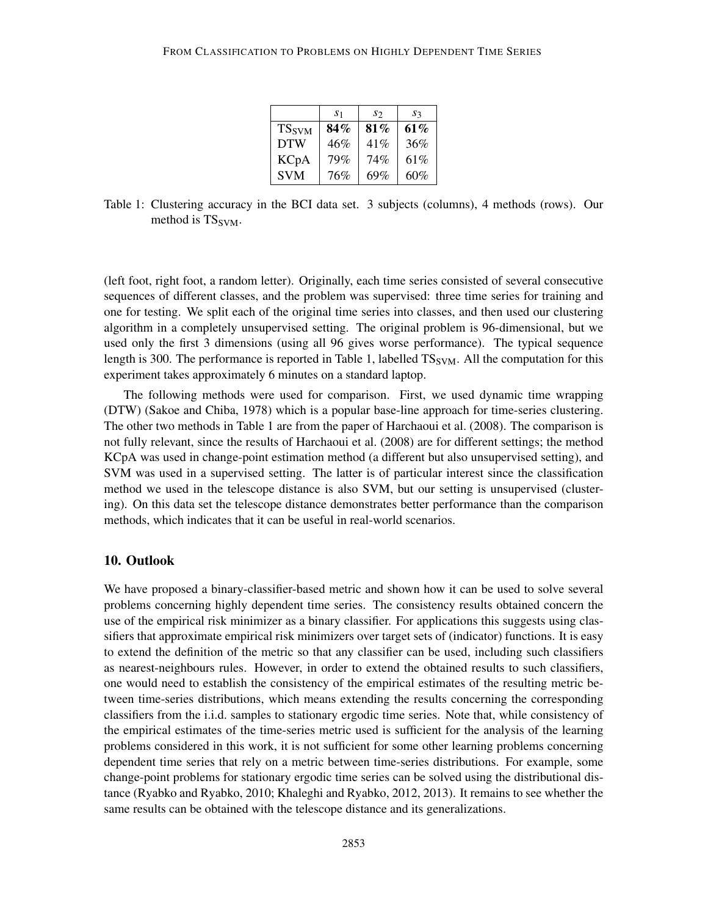|                          | S <sub>1</sub> | S2  | $s_{3}$ |
|--------------------------|----------------|-----|---------|
| <b>TS</b> <sub>SVM</sub> | $84\%$         | 81% | 61%     |
| <b>DTW</b>               | 46%            | 41% | 36%     |
| <b>KCpA</b>              | 79%            | 74% | 61\%    |
| <b>SVM</b>               | 76%            | 69% | 60%     |

Table 1: Clustering accuracy in the BCI data set. 3 subjects (columns), 4 methods (rows). Our method is TS<sub>SVM</sub>.

(left foot, right foot, a random letter). Originally, each time series consisted of several consecutive sequences of different classes, and the problem was supervised: three time series for training and one for testing. We split each of the original time series into classes, and then used our clustering algorithm in a completely unsupervised setting. The original problem is 96-dimensional, but we used only the first 3 dimensions (using all 96 gives worse performance). The typical sequence length is 300. The performance is reported in Table 1, labelled  $TS_{\text{SVM}}$ . All the computation for this experiment takes approximately 6 minutes on a standard laptop.

The following methods were used for comparison. First, we used dynamic time wrapping (DTW) (Sakoe and Chiba, 1978) which is a popular base-line approach for time-series clustering. The other two methods in Table 1 are from the paper of Harchaoui et al. (2008). The comparison is not fully relevant, since the results of Harchaoui et al. (2008) are for different settings; the method KCpA was used in change-point estimation method (a different but also unsupervised setting), and SVM was used in a supervised setting. The latter is of particular interest since the classification method we used in the telescope distance is also SVM, but our setting is unsupervised (clustering). On this data set the telescope distance demonstrates better performance than the comparison methods, which indicates that it can be useful in real-world scenarios.

### 10. Outlook

We have proposed a binary-classifier-based metric and shown how it can be used to solve several problems concerning highly dependent time series. The consistency results obtained concern the use of the empirical risk minimizer as a binary classifier. For applications this suggests using classifiers that approximate empirical risk minimizers over target sets of (indicator) functions. It is easy to extend the definition of the metric so that any classifier can be used, including such classifiers as nearest-neighbours rules. However, in order to extend the obtained results to such classifiers, one would need to establish the consistency of the empirical estimates of the resulting metric between time-series distributions, which means extending the results concerning the corresponding classifiers from the i.i.d. samples to stationary ergodic time series. Note that, while consistency of the empirical estimates of the time-series metric used is sufficient for the analysis of the learning problems considered in this work, it is not sufficient for some other learning problems concerning dependent time series that rely on a metric between time-series distributions. For example, some change-point problems for stationary ergodic time series can be solved using the distributional distance (Ryabko and Ryabko, 2010; Khaleghi and Ryabko, 2012, 2013). It remains to see whether the same results can be obtained with the telescope distance and its generalizations.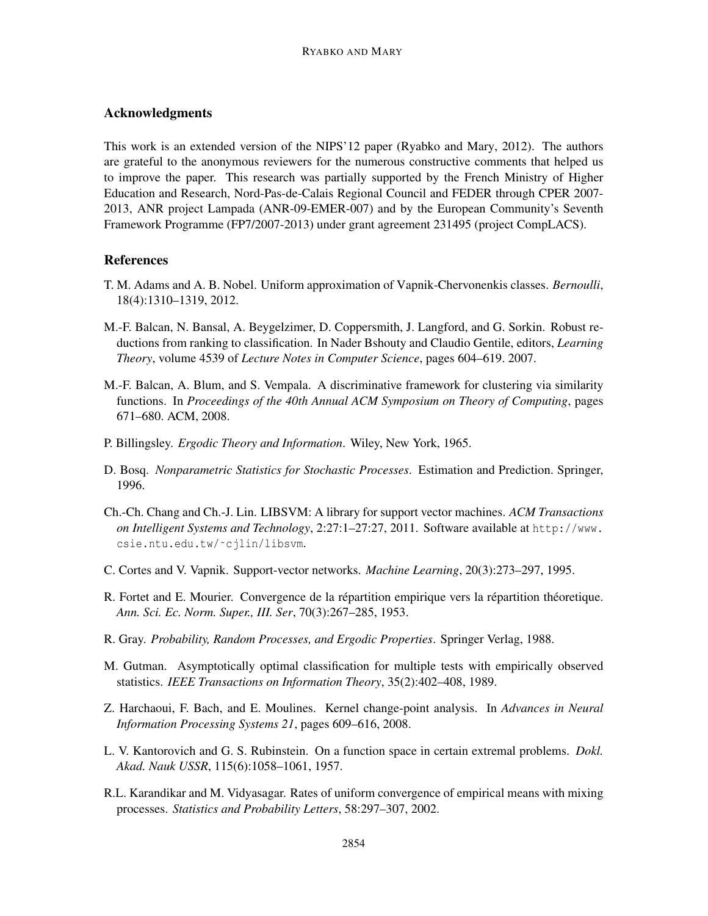### Acknowledgments

This work is an extended version of the NIPS'12 paper (Ryabko and Mary, 2012). The authors are grateful to the anonymous reviewers for the numerous constructive comments that helped us to improve the paper. This research was partially supported by the French Ministry of Higher Education and Research, Nord-Pas-de-Calais Regional Council and FEDER through CPER 2007- 2013, ANR project Lampada (ANR-09-EMER-007) and by the European Community's Seventh Framework Programme (FP7/2007-2013) under grant agreement 231495 (project CompLACS).

### References

- T. M. Adams and A. B. Nobel. Uniform approximation of Vapnik-Chervonenkis classes. *Bernoulli*, 18(4):1310–1319, 2012.
- M.-F. Balcan, N. Bansal, A. Beygelzimer, D. Coppersmith, J. Langford, and G. Sorkin. Robust reductions from ranking to classification. In Nader Bshouty and Claudio Gentile, editors, *Learning Theory*, volume 4539 of *Lecture Notes in Computer Science*, pages 604–619. 2007.
- M.-F. Balcan, A. Blum, and S. Vempala. A discriminative framework for clustering via similarity functions. In *Proceedings of the 40th Annual ACM Symposium on Theory of Computing*, pages 671–680. ACM, 2008.
- P. Billingsley. *Ergodic Theory and Information*. Wiley, New York, 1965.
- D. Bosq. *Nonparametric Statistics for Stochastic Processes*. Estimation and Prediction. Springer, 1996.
- Ch.-Ch. Chang and Ch.-J. Lin. LIBSVM: A library for support vector machines. *ACM Transactions on Intelligent Systems and Technology*, 2:27:1–27:27, 2011. Software available at http://www. csie.ntu.edu.tw/˜cjlin/libsvm.
- C. Cortes and V. Vapnik. Support-vector networks. *Machine Learning*, 20(3):273–297, 1995.
- R. Fortet and E. Mourier. Convergence de la répartition empirique vers la répartition théoretique. *Ann. Sci. Ec. Norm. Super., III. Ser*, 70(3):267–285, 1953.
- R. Gray. *Probability, Random Processes, and Ergodic Properties*. Springer Verlag, 1988.
- M. Gutman. Asymptotically optimal classification for multiple tests with empirically observed statistics. *IEEE Transactions on Information Theory*, 35(2):402–408, 1989.
- Z. Harchaoui, F. Bach, and E. Moulines. Kernel change-point analysis. In *Advances in Neural Information Processing Systems 21*, pages 609–616, 2008.
- L. V. Kantorovich and G. S. Rubinstein. On a function space in certain extremal problems. *Dokl. Akad. Nauk USSR*, 115(6):1058–1061, 1957.
- R.L. Karandikar and M. Vidyasagar. Rates of uniform convergence of empirical means with mixing processes. *Statistics and Probability Letters*, 58:297–307, 2002.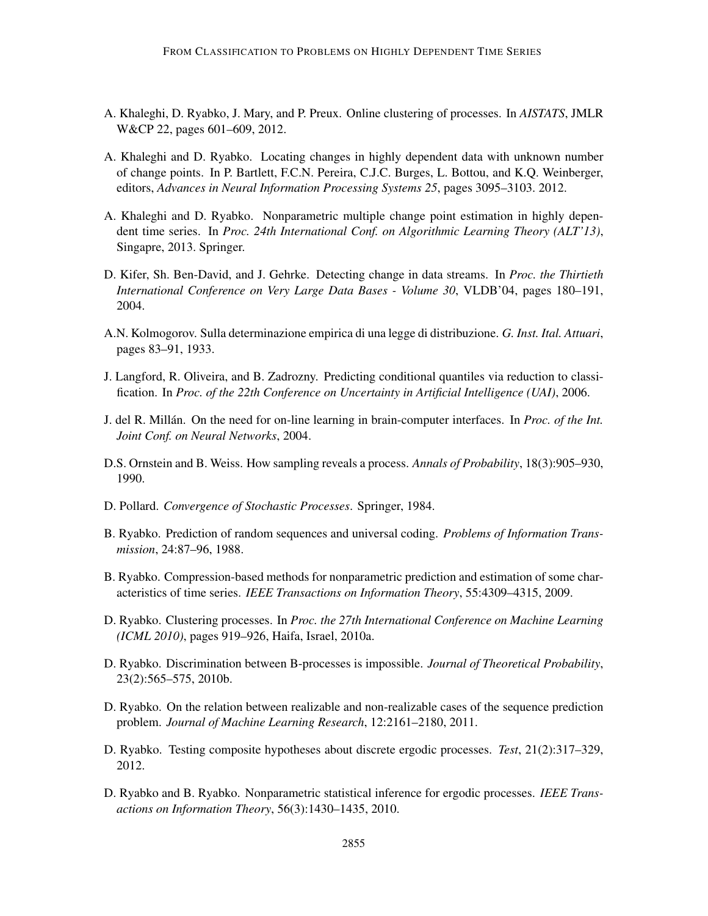- A. Khaleghi, D. Ryabko, J. Mary, and P. Preux. Online clustering of processes. In *AISTATS*, JMLR W&CP 22, pages 601–609, 2012.
- A. Khaleghi and D. Ryabko. Locating changes in highly dependent data with unknown number of change points. In P. Bartlett, F.C.N. Pereira, C.J.C. Burges, L. Bottou, and K.Q. Weinberger, editors, *Advances in Neural Information Processing Systems 25*, pages 3095–3103. 2012.
- A. Khaleghi and D. Ryabko. Nonparametric multiple change point estimation in highly dependent time series. In *Proc. 24th International Conf. on Algorithmic Learning Theory (ALT'13)*, Singapre, 2013. Springer.
- D. Kifer, Sh. Ben-David, and J. Gehrke. Detecting change in data streams. In *Proc. the Thirtieth International Conference on Very Large Data Bases - Volume 30*, VLDB'04, pages 180–191, 2004.
- A.N. Kolmogorov. Sulla determinazione empirica di una legge di distribuzione. *G. Inst. Ital. Attuari*, pages 83–91, 1933.
- J. Langford, R. Oliveira, and B. Zadrozny. Predicting conditional quantiles via reduction to classification. In *Proc. of the 22th Conference on Uncertainty in Artificial Intelligence (UAI)*, 2006.
- J. del R. Millan. On the need for on-line learning in brain-computer interfaces. In ´ *Proc. of the Int. Joint Conf. on Neural Networks*, 2004.
- D.S. Ornstein and B. Weiss. How sampling reveals a process. *Annals of Probability*, 18(3):905–930, 1990.
- D. Pollard. *Convergence of Stochastic Processes*. Springer, 1984.
- B. Ryabko. Prediction of random sequences and universal coding. *Problems of Information Transmission*, 24:87–96, 1988.
- B. Ryabko. Compression-based methods for nonparametric prediction and estimation of some characteristics of time series. *IEEE Transactions on Information Theory*, 55:4309–4315, 2009.
- D. Ryabko. Clustering processes. In *Proc. the 27th International Conference on Machine Learning (ICML 2010)*, pages 919–926, Haifa, Israel, 2010a.
- D. Ryabko. Discrimination between B-processes is impossible. *Journal of Theoretical Probability*, 23(2):565–575, 2010b.
- D. Ryabko. On the relation between realizable and non-realizable cases of the sequence prediction problem. *Journal of Machine Learning Research*, 12:2161–2180, 2011.
- D. Ryabko. Testing composite hypotheses about discrete ergodic processes. *Test*, 21(2):317–329, 2012.
- D. Ryabko and B. Ryabko. Nonparametric statistical inference for ergodic processes. *IEEE Transactions on Information Theory*, 56(3):1430–1435, 2010.